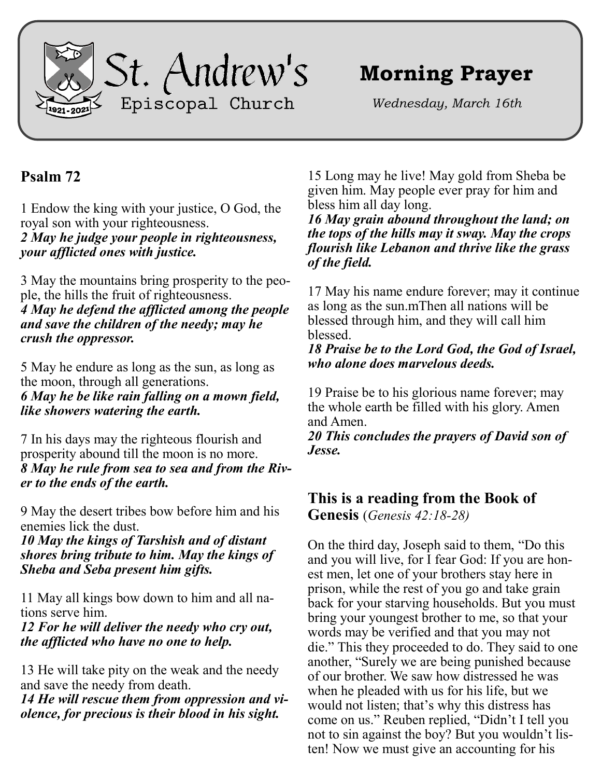

# **Morning Prayer**

*Wednesday, March 16th*

## **Psalm 72**

1 Endow the king with your justice, O God, the royal son with your righteousness. *2 May he judge your people in righteousness, your afflicted ones with justice.*

3 May the mountains bring prosperity to the people, the hills the fruit of righteousness. *4 May he defend the afflicted among the people and save the children of the needy; may he crush the oppressor.*

5 May he endure as long as the sun, as long as the moon, through all generations. *6 May he be like rain falling on a mown field, like showers watering the earth.*

7 In his days may the righteous flourish and prosperity abound till the moon is no more. *8 May he rule from sea to sea and from the River to the ends of the earth.*

9 May the desert tribes bow before him and his enemies lick the dust.

*10 May the kings of Tarshish and of distant shores bring tribute to him. May the kings of Sheba and Seba present him gifts.*

11 May all kings bow down to him and all nations serve him.

*12 For he will deliver the needy who cry out, the afflicted who have no one to help.*

13 He will take pity on the weak and the needy and save the needy from death.

*14 He will rescue them from oppression and violence, for precious is their blood in his sight.*

15 Long may he live! May gold from Sheba be given him. May people ever pray for him and bless him all day long.

*16 May grain abound throughout the land; on the tops of the hills may it sway. May the crops flourish like Lebanon and thrive like the grass of the field.*

17 May his name endure forever; may it continue as long as the sun.mThen all nations will be blessed through him, and they will call him blessed.

*18 Praise be to the Lord God, the God of Israel, who alone does marvelous deeds.*

19 Praise be to his glorious name forever; may the whole earth be filled with his glory. Amen and Amen.

*20 This concludes the prayers of David son of Jesse.*

## **This is a reading from the Book of**

**Genesis** (*Genesis 42:18-28)*

On the third day, Joseph said to them, "Do this and you will live, for I fear God: If you are honest men, let one of your brothers stay here in prison, while the rest of you go and take grain back for your starving households. But you must bring your youngest brother to me, so that your words may be verified and that you may not die." This they proceeded to do. They said to one another, "Surely we are being punished because of our brother. We saw how distressed he was when he pleaded with us for his life, but we would not listen; that's why this distress has come on us." Reuben replied, "Didn't I tell you not to sin against the boy? But you wouldn't listen! Now we must give an accounting for his